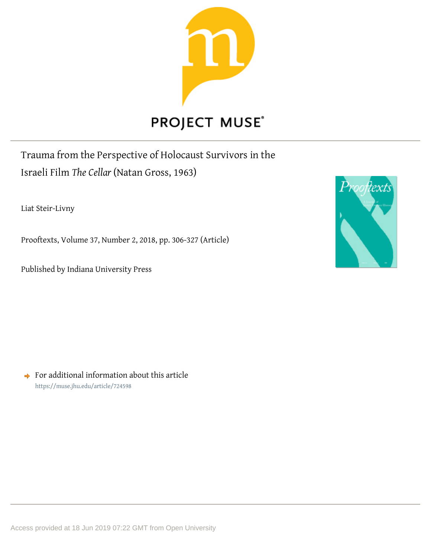

Trauma from the Perspective of Holocaust Survivors in the

Israeli Film *The Cellar* (Natan Gross, 1963)

Liat Steir-Livny

Prooftexts, Volume 37, Number 2, 2018, pp. 306-327 (Article)

Published by Indiana University Press



 $\rightarrow$  For additional information about this article <https://muse.jhu.edu/article/724598>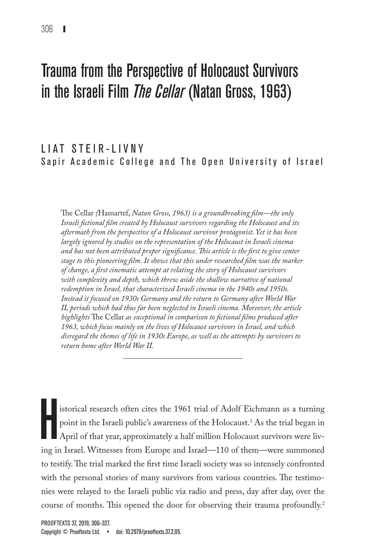# Trauma from the Perspective of Holocaust Survivors in the Israeli Film *The Cellar* (Natan Gross, 1963)

# LIAT STEIR-LIVNY Sapir Academic College and The Open University of Israel

The Cellar *(*Hamartef, *Natan Gross, 1963) is a groundbreaking film—the only Israeli fictional film created by Holocaust survivors regarding the Holocaust and its aftermath from the perspective of a Holocaust survivor protagonist. Yet it has been largely ignored by studies on the representation of the Holocaust in Israeli cinema and has not been attributed proper significance. This article is the first to give center stage to this pioneering film. It shows that this under researched film was the marker of change, a first cinematic attempt at relating the story of Holocaust survivors*  with complexity and depth, which threw aside the shallow narrative of national *redemption in Israel, that characterized Israeli cinema in the 1940s and 1950s. Instead it focused on 1930s Germany and the return to Germany after World War II, periods which had thus far been neglected in Israeli cinema. Moreover, the article highlights* The Cellar *as exceptional in comparison to fictional films produced after 1963, which focus mainly on the lives of Holocaust survivors in Israel, and which disregard the themes of life in 1930s Europe, as well as the attempts by survivors to return home after World War II.*

 $\prod_{\substack{\text{in } \mathcal{C}}}$ istorical research often cites the 1961 trial of Adolf Eichmann as a turning point in the Israeli public's awareness of the Holocaust.1 As the trial began in April of that year, approximately a half million Holocaust survivors were living in Israel. Witnesses from Europe and Israel—110 of them—were summoned to testify. The trial marked the first time Israeli society was so intensely confronted with the personal stories of many survivors from various countries. The testimonies were relayed to the Israeli public via radio and press, day after day, over the course of months. This opened the door for observing their trauma profoundly.<sup>2</sup>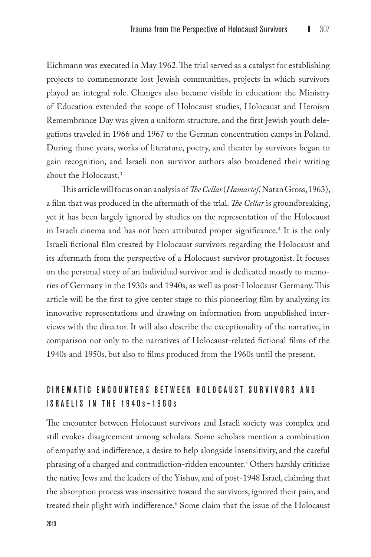Eichmann was executed in May 1962. The trial served as a catalyst for establishing projects to commemorate lost Jewish communities, projects in which survivors played an integral role. Changes also became visible in education: the Ministry of Education extended the scope of Holocaust studies, Holocaust and Heroism Remembrance Day was given a uniform structure, and the first Jewish youth delegations traveled in 1966 and 1967 to the German concentration camps in Poland. During those years, works of literature, poetry, and theater by survivors began to gain recognition, and Israeli non survivor authors also broadened their writing about the Holocaust.3

This article will focus on an analysis of *The Cellar* (*Hamartef*,Natan Gross, 1963), a film that was produced in the aftermath of the trial. *The Cellar* is groundbreaking, yet it has been largely ignored by studies on the representation of the Holocaust in Israeli cinema and has not been attributed proper significance.4 It is the only Israeli fictional film created by Holocaust survivors regarding the Holocaust and its aftermath from the perspective of a Holocaust survivor protagonist. It focuses on the personal story of an individual survivor and is dedicated mostly to memories of Germany in the 1930s and 1940s, as well as post-Holocaust Germany. This article will be the first to give center stage to this pioneering film by analyzing its innovative representations and drawing on information from unpublished interviews with the director. It will also describe the exceptionality of the narrative, in comparison not only to the narratives of Holocaust-related fictional films of the 1940s and 1950s, but also to films produced from the 1960s until the present.

# CINEMATIC ENCOUNTERS BETWEEN HOLOCAUST SURVIVORS AND I sraelis in the 1940 s –1960 s

The encounter between Holocaust survivors and Israeli society was complex and still evokes disagreement among scholars. Some scholars mention a combination of empathy and indifference, a desire to help alongside insensitivity, and the careful phrasing of a charged and contradiction-ridden encounter.5 Others harshly criticize the native Jews and the leaders of the Yishuv, and of post-1948 Israel, claiming that the absorption process was insensitive toward the survivors, ignored their pain, and treated their plight with indifference.6 Some claim that the issue of the Holocaust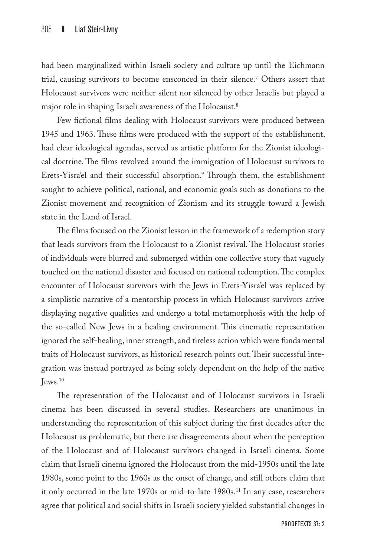had been marginalized within Israeli society and culture up until the Eichmann trial, causing survivors to become ensconced in their silence.7 Others assert that Holocaust survivors were neither silent nor silenced by other Israelis but played a major role in shaping Israeli awareness of the Holocaust.<sup>8</sup>

Few fictional films dealing with Holocaust survivors were produced between 1945 and 1963. These films were produced with the support of the establishment, had clear ideological agendas, served as artistic platform for the Zionist ideological doctrine. The films revolved around the immigration of Holocaust survivors to Erets-Yisra'el and their successful absorption.<sup>9</sup> Through them, the establishment sought to achieve political, national, and economic goals such as donations to the Zionist movement and recognition of Zionism and its struggle toward a Jewish state in the Land of Israel.

The films focused on the Zionist lesson in the framework of a redemption story that leads survivors from the Holocaust to a Zionist revival. The Holocaust stories of individuals were blurred and submerged within one collective story that vaguely touched on the national disaster and focused on national redemption. The complex encounter of Holocaust survivors with the Jews in Erets-Yisra'el was replaced by a simplistic narrative of a mentorship process in which Holocaust survivors arrive displaying negative qualities and undergo a total metamorphosis with the help of the so-called New Jews in a healing environment. This cinematic representation ignored the self-healing, inner strength, and tireless action which were fundamental traits of Holocaust survivors, as historical research points out. Their successful integration was instead portrayed as being solely dependent on the help of the native  $I$ ews. $10$ 

The representation of the Holocaust and of Holocaust survivors in Israeli cinema has been discussed in several studies. Researchers are unanimous in understanding the representation of this subject during the first decades after the Holocaust as problematic, but there are disagreements about when the perception of the Holocaust and of Holocaust survivors changed in Israeli cinema. Some claim that Israeli cinema ignored the Holocaust from the mid-1950s until the late 1980s, some point to the 1960s as the onset of change, and still others claim that it only occurred in the late 1970s or mid-to-late 1980s.<sup>11</sup> In any case, researchers agree that political and social shifts in Israeli society yielded substantial changes in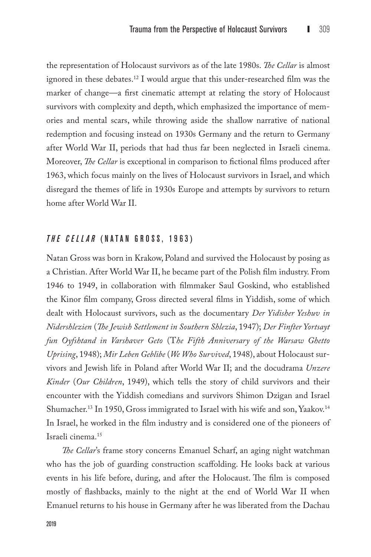the representation of Holocaust survivors as of the late 1980s. *The Cellar* is almost ignored in these debates.12 I would argue that this under-researched film was the marker of change—a first cinematic attempt at relating the story of Holocaust survivors with complexity and depth, which emphasized the importance of memories and mental scars, while throwing aside the shallow narrative of national redemption and focusing instead on 1930s Germany and the return to Germany after World War II, periods that had thus far been neglected in Israeli cinema. Moreover, *The Cellar* is exceptional in comparison to fictional films produced after 1963, which focus mainly on the lives of Holocaust survivors in Israel, and which disregard the themes of life in 1930s Europe and attempts by survivors to return home after World War II.

## *The Cellar* (N atan G ross , 1963)

Natan Gross was born in Krakow, Poland and survived the Holocaust by posing as a Christian. After World War II, he became part of the Polish film industry. From 1946 to 1949, in collaboration with filmmaker Saul Goskind, who established the Kinor film company, Gross directed several films in Yiddish, some of which dealt with Holocaust survivors, such as the documentary *Der Yidisher Yeshuv in Nidershlezien* (*The Jewish Settlement in Southern Shlezia*, 1947); *Der Finfter Yortsayt fun Oyfshtand in Varshaver Geto* (T*he Fifth Anniversary of the Warsaw Ghetto Uprising*, 1948); *Mir Leben Geblibe* (*We Who Survived*, 1948), about Holocaust survivors and Jewish life in Poland after World War II; and the docudrama *Unzere Kinder* (*Our Children*, 1949), which tells the story of child survivors and their encounter with the Yiddish comedians and survivors Shimon Dzigan and Israel Shumacher.<sup>13</sup> In 1950, Gross immigrated to Israel with his wife and son, Yaakov.<sup>14</sup> In Israel, he worked in the film industry and is considered one of the pioneers of Israeli cinema.15

*The Cellar*'s frame story concerns Emanuel Scharf, an aging night watchman who has the job of guarding construction scaffolding. He looks back at various events in his life before, during, and after the Holocaust. The film is composed mostly of flashbacks, mainly to the night at the end of World War II when Emanuel returns to his house in Germany after he was liberated from the Dachau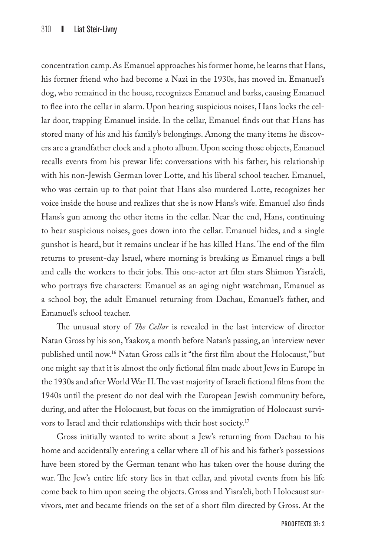concentration camp. As Emanuel approaches his former home, he learns that Hans, his former friend who had become a Nazi in the 1930s, has moved in. Emanuel's dog, who remained in the house, recognizes Emanuel and barks, causing Emanuel to flee into the cellar in alarm. Upon hearing suspicious noises, Hans locks the cellar door, trapping Emanuel inside. In the cellar, Emanuel finds out that Hans has stored many of his and his family's belongings. Among the many items he discovers are a grandfather clock and a photo album. Upon seeing those objects, Emanuel recalls events from his prewar life: conversations with his father, his relationship with his non-Jewish German lover Lotte, and his liberal school teacher. Emanuel, who was certain up to that point that Hans also murdered Lotte, recognizes her voice inside the house and realizes that she is now Hans's wife. Emanuel also finds Hans's gun among the other items in the cellar. Near the end, Hans, continuing to hear suspicious noises, goes down into the cellar. Emanuel hides, and a single gunshot is heard, but it remains unclear if he has killed Hans. The end of the film returns to present-day Israel, where morning is breaking as Emanuel rings a bell and calls the workers to their jobs. This one-actor art film stars Shimon Yisra'eli, who portrays five characters: Emanuel as an aging night watchman, Emanuel as a school boy, the adult Emanuel returning from Dachau, Emanuel's father, and Emanuel's school teacher.

The unusual story of *The Cellar* is revealed in the last interview of director Natan Gross by his son, Yaakov, a month before Natan's passing, an interview never published until now.16 Natan Gross calls it "the first film about the Holocaust," but one might say that it is almost the only fictional film made about Jews in Europe in the 1930s and after World War II. The vast majority of Israeli fictional films from the 1940s until the present do not deal with the European Jewish community before, during, and after the Holocaust, but focus on the immigration of Holocaust survivors to Israel and their relationships with their host society.17

Gross initially wanted to write about a Jew's returning from Dachau to his home and accidentally entering a cellar where all of his and his father's possessions have been stored by the German tenant who has taken over the house during the war. The Jew's entire life story lies in that cellar, and pivotal events from his life come back to him upon seeing the objects. Gross and Yisra'eli, both Holocaust survivors, met and became friends on the set of a short film directed by Gross. At the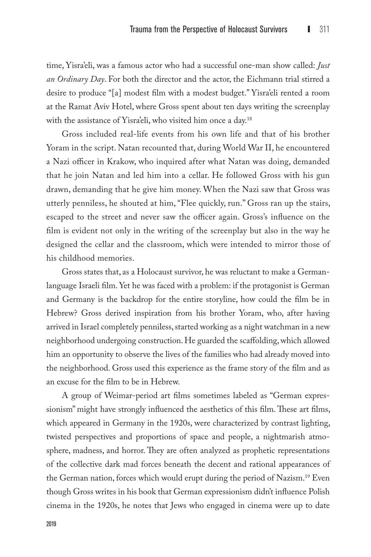time, Yisra'eli, was a famous actor who had a successful one-man show called: *Just an Ordinary Day*. For both the director and the actor, the Eichmann trial stirred a desire to produce "[a] modest film with a modest budget." Yisra'eli rented a room at the Ramat Aviv Hotel, where Gross spent about ten days writing the screenplay with the assistance of Yisra'eli, who visited him once a day.<sup>18</sup>

Gross included real-life events from his own life and that of his brother Yoram in the script. Natan recounted that, during World War II, he encountered a Nazi officer in Krakow, who inquired after what Natan was doing, demanded that he join Natan and led him into a cellar. He followed Gross with his gun drawn, demanding that he give him money. When the Nazi saw that Gross was utterly penniless, he shouted at him, "Flee quickly, run." Gross ran up the stairs, escaped to the street and never saw the officer again. Gross's influence on the film is evident not only in the writing of the screenplay but also in the way he designed the cellar and the classroom, which were intended to mirror those of his childhood memories.

Gross states that, as a Holocaust survivor, he was reluctant to make a Germanlanguage Israeli film. Yet he was faced with a problem: if the protagonist is German and Germany is the backdrop for the entire storyline, how could the film be in Hebrew? Gross derived inspiration from his brother Yoram, who, after having arrived in Israel completely penniless, started working as a night watchman in a new neighborhood undergoing construction. He guarded the scaffolding, which allowed him an opportunity to observe the lives of the families who had already moved into the neighborhood. Gross used this experience as the frame story of the film and as an excuse for the film to be in Hebrew.

A group of Weimar-period art films sometimes labeled as "German expressionism" might have strongly influenced the aesthetics of this film. These art films, which appeared in Germany in the 1920s, were characterized by contrast lighting, twisted perspectives and proportions of space and people, a nightmarish atmosphere, madness, and horror. They are often analyzed as prophetic representations of the collective dark mad forces beneath the decent and rational appearances of the German nation, forces which would erupt during the period of Nazism.<sup>19</sup> Even though Gross writes in his book that German expressionism didn't influence Polish cinema in the 1920s, he notes that Jews who engaged in cinema were up to date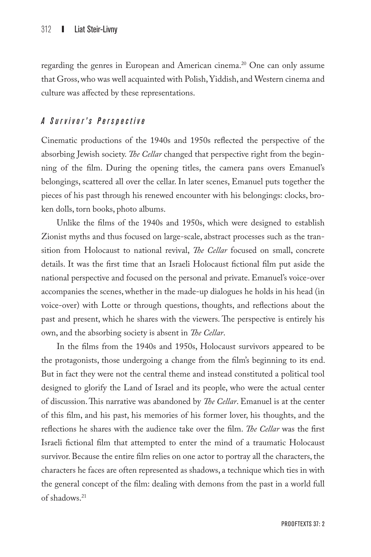regarding the genres in European and American cinema.20 One can only assume that Gross, who was well acquainted with Polish, Yiddish, and Western cinema and culture was affected by these representations.

## *A S u r v i v o r ' s P e r s p e c t i v e*

Cinematic productions of the 1940s and 1950s reflected the perspective of the absorbing Jewish society. *The Cellar* changed that perspective right from the beginning of the film. During the opening titles, the camera pans overs Emanuel's belongings, scattered all over the cellar. In later scenes, Emanuel puts together the pieces of his past through his renewed encounter with his belongings: clocks, broken dolls, torn books, photo albums.

Unlike the films of the 1940s and 1950s, which were designed to establish Zionist myths and thus focused on large-scale, abstract processes such as the transition from Holocaust to national revival, *The Cellar* focused on small, concrete details. It was the first time that an Israeli Holocaust fictional film put aside the national perspective and focused on the personal and private. Emanuel's voice-over accompanies the scenes, whether in the made-up dialogues he holds in his head (in voice-over) with Lotte or through questions, thoughts, and reflections about the past and present, which he shares with the viewers. The perspective is entirely his own, and the absorbing society is absent in *The Cellar*.

In the films from the 1940s and 1950s, Holocaust survivors appeared to be the protagonists, those undergoing a change from the film's beginning to its end. But in fact they were not the central theme and instead constituted a political tool designed to glorify the Land of Israel and its people, who were the actual center of discussion. This narrative was abandoned by *The Cellar*. Emanuel is at the center of this film, and his past, his memories of his former lover, his thoughts, and the reflections he shares with the audience take over the film. *The Cellar* was the first Israeli fictional film that attempted to enter the mind of a traumatic Holocaust survivor. Because the entire film relies on one actor to portray all the characters, the characters he faces are often represented as shadows, a technique which ties in with the general concept of the film: dealing with demons from the past in a world full of shadows.21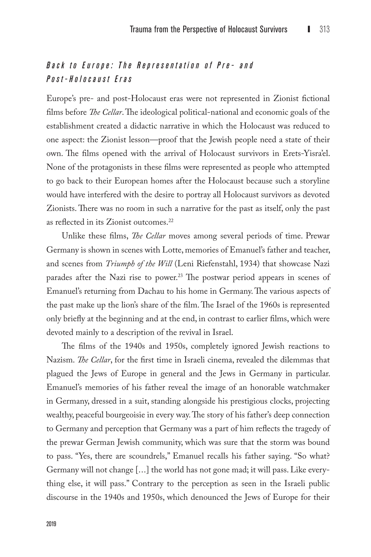# *Back to E urope: The R e p r e s e n t a t i o n o f P r e - a n d Post- H olocaust E ras*

Europe's pre- and post-Holocaust eras were not represented in Zionist fictional films before *The Cellar*. The ideological political-national and economic goals of the establishment created a didactic narrative in which the Holocaust was reduced to one aspect: the Zionist lesson—proof that the Jewish people need a state of their own. The films opened with the arrival of Holocaust survivors in Erets-Yisra'el. None of the protagonists in these films were represented as people who attempted to go back to their European homes after the Holocaust because such a storyline would have interfered with the desire to portray all Holocaust survivors as devoted Zionists. There was no room in such a narrative for the past as itself, only the past as reflected in its Zionist outcomes.<sup>22</sup>

Unlike these films, *The Cellar* moves among several periods of time. Prewar Germany is shown in scenes with Lotte, memories of Emanuel's father and teacher, and scenes from *Triumph of the Will* (Leni Riefenstahl, 1934) that showcase Nazi parades after the Nazi rise to power.<sup>23</sup> The postwar period appears in scenes of Emanuel's returning from Dachau to his home in Germany. The various aspects of the past make up the lion's share of the film. The Israel of the 1960s is represented only briefly at the beginning and at the end, in contrast to earlier films, which were devoted mainly to a description of the revival in Israel.

The films of the 1940s and 1950s, completely ignored Jewish reactions to Nazism. *The Cellar*, for the first time in Israeli cinema, revealed the dilemmas that plagued the Jews of Europe in general and the Jews in Germany in particular. Emanuel's memories of his father reveal the image of an honorable watchmaker in Germany, dressed in a suit, standing alongside his prestigious clocks, projecting wealthy, peaceful bourgeoisie in every way. The story of his father's deep connection to Germany and perception that Germany was a part of him reflects the tragedy of the prewar German Jewish community, which was sure that the storm was bound to pass. "Yes, there are scoundrels," Emanuel recalls his father saying. "So what? Germany will not change [...] the world has not gone mad; it will pass. Like everything else, it will pass." Contrary to the perception as seen in the Israeli public discourse in the 1940s and 1950s, which denounced the Jews of Europe for their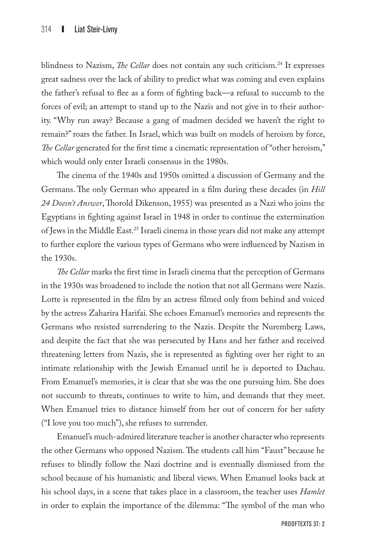blindness to Nazism, *The Cellar* does not contain any such criticism.<sup>24</sup> It expresses great sadness over the lack of ability to predict what was coming and even explains the father's refusal to flee as a form of fighting back—a refusal to succumb to the forces of evil; an attempt to stand up to the Nazis and not give in to their authority. "Why run away? Because a gang of madmen decided we haven't the right to remain?" roars the father. In Israel, which was built on models of heroism by force, *The Cellar* generated for the first time a cinematic representation of "other heroism," which would only enter Israeli consensus in the 1980s.

The cinema of the 1940s and 1950s omitted a discussion of Germany and the Germans. The only German who appeared in a film during these decades (in *Hill 24 Doesn't Answer*, Thorold Dikenson, 1955) was presented as a Nazi who joins the Egyptians in fighting against Israel in 1948 in order to continue the extermination of Jews in the Middle East.25 Israeli cinema in those years did not make any attempt to further explore the various types of Germans who were influenced by Nazism in the 1930s.

*The Cellar* marks the first time in Israeli cinema that the perception of Germans in the 1930s was broadened to include the notion that not all Germans were Nazis. Lotte is represented in the film by an actress filmed only from behind and voiced by the actress Zaharira Harifai. She echoes Emanuel's memories and represents the Germans who resisted surrendering to the Nazis. Despite the Nuremberg Laws, and despite the fact that she was persecuted by Hans and her father and received threatening letters from Nazis, she is represented as fighting over her right to an intimate relationship with the Jewish Emanuel until he is deported to Dachau. From Emanuel's memories, it is clear that she was the one pursuing him. She does not succumb to threats, continues to write to him, and demands that they meet. When Emanuel tries to distance himself from her out of concern for her safety ("I love you too much"), she refuses to surrender.

Emanuel's much-admired literature teacher is another character who represents the other Germans who opposed Nazism. The students call him "Faust" because he refuses to blindly follow the Nazi doctrine and is eventually dismissed from the school because of his humanistic and liberal views. When Emanuel looks back at his school days, in a scene that takes place in a classroom, the teacher uses *Hamlet* in order to explain the importance of the dilemma: "The symbol of the man who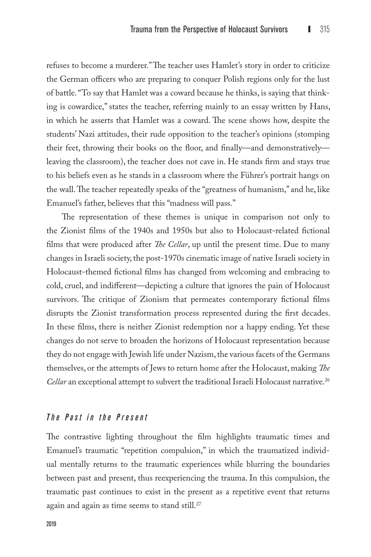refuses to become a murderer." The teacher uses Hamlet's story in order to criticize the German officers who are preparing to conquer Polish regions only for the lust of battle. "To say that Hamlet was a coward because he thinks, is saying that thinking is cowardice," states the teacher, referring mainly to an essay written by Hans, in which he asserts that Hamlet was a coward. The scene shows how, despite the students' Nazi attitudes, their rude opposition to the teacher's opinions (stomping their feet, throwing their books on the floor, and finally—and demonstratively leaving the classroom), the teacher does not cave in. He stands firm and stays true to his beliefs even as he stands in a classroom where the Führer's portrait hangs on the wall. The teacher repeatedly speaks of the "greatness of humanism," and he, like Emanuel's father, believes that this "madness will pass."

The representation of these themes is unique in comparison not only to the Zionist films of the 1940s and 1950s but also to Holocaust-related fictional films that were produced after *The Cellar*, up until the present time. Due to many changes in Israeli society, the post-1970s cinematic image of native Israeli society in Holocaust-themed fictional films has changed from welcoming and embracing to cold, cruel, and indifferent—depicting a culture that ignores the pain of Holocaust survivors. The critique of Zionism that permeates contemporary fictional films disrupts the Zionist transformation process represented during the first decades. In these films, there is neither Zionist redemption nor a happy ending. Yet these changes do not serve to broaden the horizons of Holocaust representation because they do not engage with Jewish life under Nazism, the various facets of the Germans themselves, or the attempts of Jews to return home after the Holocaust, making *The Cellar* an exceptional attempt to subvert the traditional Israeli Holocaust narrative.<sup>26</sup>

#### *The Past in the Present*

The contrastive lighting throughout the film highlights traumatic times and Emanuel's traumatic "repetition compulsion," in which the traumatized individual mentally returns to the traumatic experiences while blurring the boundaries between past and present, thus reexperiencing the trauma. In this compulsion, the traumatic past continues to exist in the present as a repetitive event that returns again and again as time seems to stand still.<sup>27</sup>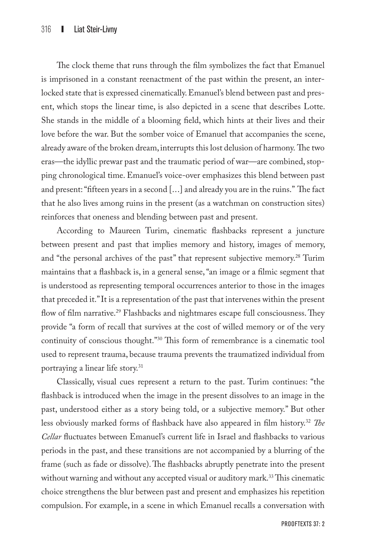The clock theme that runs through the film symbolizes the fact that Emanuel is imprisoned in a constant reenactment of the past within the present, an interlocked state that is expressed cinematically. Emanuel's blend between past and present, which stops the linear time, is also depicted in a scene that describes Lotte. She stands in the middle of a blooming field, which hints at their lives and their love before the war. But the somber voice of Emanuel that accompanies the scene, already aware of the broken dream, interrupts this lost delusion of harmony. The two eras—the idyllic prewar past and the traumatic period of war—are combined, stopping chronological time. Emanuel's voice-over emphasizes this blend between past and present: "fifteen years in a second [...] and already you are in the ruins." The fact that he also lives among ruins in the present (as a watchman on construction sites) reinforces that oneness and blending between past and present.

According to Maureen Turim, cinematic flashbacks represent a juncture between present and past that implies memory and history, images of memory, and "the personal archives of the past" that represent subjective memory.<sup>28</sup> Turim maintains that a flashback is, in a general sense, "an image or a filmic segment that is understood as representing temporal occurrences anterior to those in the images that preceded it." It is a representation of the past that intervenes within the present flow of film narrative.<sup>29</sup> Flashbacks and nightmares escape full consciousness. They provide "a form of recall that survives at the cost of willed memory or of the very continuity of conscious thought."30 This form of remembrance is a cinematic tool used to represent trauma, because trauma prevents the traumatized individual from portraying a linear life story.31

Classically, visual cues represent a return to the past. Turim continues: "the flashback is introduced when the image in the present dissolves to an image in the past, understood either as a story being told, or a subjective memory." But other less obviously marked forms of flashback have also appeared in film history.32 *The Cellar* fluctuates between Emanuel's current life in Israel and flashbacks to various periods in the past, and these transitions are not accompanied by a blurring of the frame (such as fade or dissolve). The flashbacks abruptly penetrate into the present without warning and without any accepted visual or auditory mark.<sup>33</sup> This cinematic choice strengthens the blur between past and present and emphasizes his repetition compulsion. For example, in a scene in which Emanuel recalls a conversation with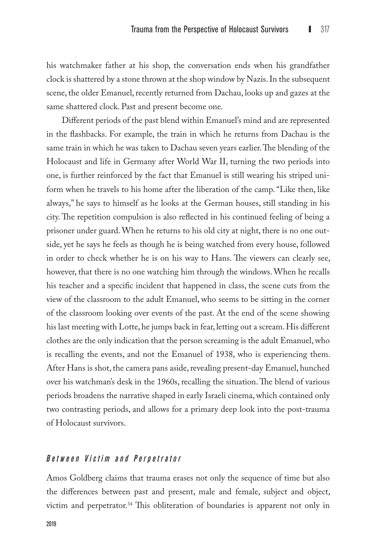his watchmaker father at his shop, the conversation ends when his grandfather clock is shattered by a stone thrown at the shop window by Nazis. In the subsequent scene, the older Emanuel, recently returned from Dachau, looks up and gazes at the same shattered clock. Past and present become one.

Different periods of the past blend within Emanuel's mind and are represented in the flashbacks. For example, the train in which he returns from Dachau is the same train in which he was taken to Dachau seven years earlier. The blending of the Holocaust and life in Germany after World War II, turning the two periods into one, is further reinforced by the fact that Emanuel is still wearing his striped uniform when he travels to his home after the liberation of the camp. "Like then, like always," he says to himself as he looks at the German houses, still standing in his city. The repetition compulsion is also reflected in his continued feeling of being a prisoner under guard. When he returns to his old city at night, there is no one outside, yet he says he feels as though he is being watched from every house, followed in order to check whether he is on his way to Hans. The viewers can clearly see, however, that there is no one watching him through the windows. When he recalls his teacher and a specific incident that happened in class, the scene cuts from the view of the classroom to the adult Emanuel, who seems to be sitting in the corner of the classroom looking over events of the past. At the end of the scene showing his last meeting with Lotte, he jumps back in fear, letting out a scream. His different clothes are the only indication that the person screaming is the adult Emanuel, who is recalling the events, and not the Emanuel of 1938, who is experiencing them. After Hans is shot, the camera pans aside, revealing present-day Emanuel, hunched over his watchman's desk in the 1960s, recalling the situation. The blend of various periods broadens the narrative shaped in early Israeli cinema, which contained only two contrasting periods, and allows for a primary deep look into the post-trauma of Holocaust survivors.

#### *Between Victim and Perpetrator*

Amos Goldberg claims that trauma erases not only the sequence of time but also the differences between past and present, male and female, subject and object, victim and perpetrator.34 This obliteration of boundaries is apparent not only in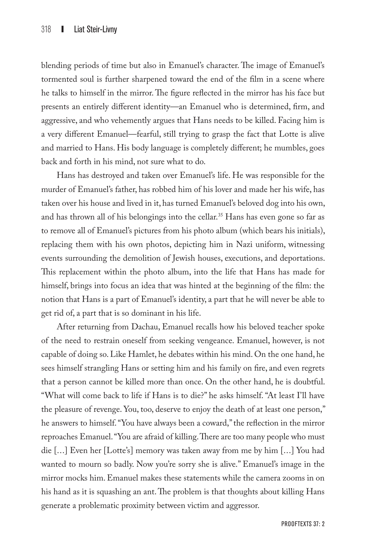blending periods of time but also in Emanuel's character. The image of Emanuel's tormented soul is further sharpened toward the end of the film in a scene where he talks to himself in the mirror. The figure reflected in the mirror has his face but presents an entirely different identity—an Emanuel who is determined, firm, and aggressive, and who vehemently argues that Hans needs to be killed. Facing him is a very different Emanuel—fearful, still trying to grasp the fact that Lotte is alive and married to Hans. His body language is completely different; he mumbles, goes back and forth in his mind, not sure what to do.

Hans has destroyed and taken over Emanuel's life. He was responsible for the murder of Emanuel's father, has robbed him of his lover and made her his wife, has taken over his house and lived in it, has turned Emanuel's beloved dog into his own, and has thrown all of his belongings into the cellar.<sup>35</sup> Hans has even gone so far as to remove all of Emanuel's pictures from his photo album (which bears his initials), replacing them with his own photos, depicting him in Nazi uniform, witnessing events surrounding the demolition of Jewish houses, executions, and deportations. This replacement within the photo album, into the life that Hans has made for himself, brings into focus an idea that was hinted at the beginning of the film: the notion that Hans is a part of Emanuel's identity, a part that he will never be able to get rid of, a part that is so dominant in his life.

After returning from Dachau, Emanuel recalls how his beloved teacher spoke of the need to restrain oneself from seeking vengeance. Emanuel, however, is not capable of doing so. Like Hamlet, he debates within his mind. On the one hand, he sees himself strangling Hans or setting him and his family on fire, and even regrets that a person cannot be killed more than once. On the other hand, he is doubtful. "What will come back to life if Hans is to die?" he asks himself. "At least I'll have the pleasure of revenge. You, too, deserve to enjoy the death of at least one person," he answers to himself. "You have always been a coward," the reflection in the mirror reproaches Emanuel. "You are afraid of killing. There are too many people who must die [...] Even her [Lotte's] memory was taken away from me by him [...] You had wanted to mourn so badly. Now you're sorry she is alive." Emanuel's image in the mirror mocks him. Emanuel makes these statements while the camera zooms in on his hand as it is squashing an ant. The problem is that thoughts about killing Hans generate a problematic proximity between victim and aggressor.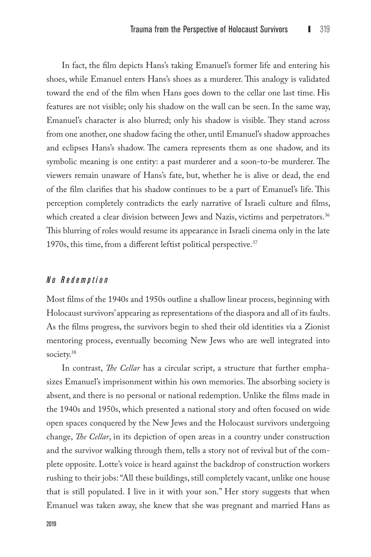In fact, the film depicts Hans's taking Emanuel's former life and entering his shoes, while Emanuel enters Hans's shoes as a murderer. This analogy is validated toward the end of the film when Hans goes down to the cellar one last time. His features are not visible; only his shadow on the wall can be seen. In the same way, Emanuel's character is also blurred; only his shadow is visible. They stand across from one another, one shadow facing the other, until Emanuel's shadow approaches and eclipses Hans's shadow. The camera represents them as one shadow, and its symbolic meaning is one entity: a past murderer and a soon-to-be murderer. The viewers remain unaware of Hans's fate, but, whether he is alive or dead, the end of the film clarifies that his shadow continues to be a part of Emanuel's life. This perception completely contradicts the early narrative of Israeli culture and films, which created a clear division between Jews and Nazis, victims and perpetrators.<sup>36</sup> This blurring of roles would resume its appearance in Israeli cinema only in the late 1970s, this time, from a different leftist political perspective.<sup>37</sup>

#### *No R edemption*

Most films of the 1940s and 1950s outline a shallow linear process, beginning with Holocaust survivors' appearing as representations of the diaspora and all of its faults. As the films progress, the survivors begin to shed their old identities via a Zionist mentoring process, eventually becoming New Jews who are well integrated into society.<sup>38</sup>

In contrast, *The Cellar* has a circular script, a structure that further emphasizes Emanuel's imprisonment within his own memories. The absorbing society is absent, and there is no personal or national redemption. Unlike the films made in the 1940s and 1950s, which presented a national story and often focused on wide open spaces conquered by the New Jews and the Holocaust survivors undergoing change, *The Cellar*, in its depiction of open areas in a country under construction and the survivor walking through them, tells a story not of revival but of the complete opposite. Lotte's voice is heard against the backdrop of construction workers rushing to their jobs: "All these buildings, still completely vacant, unlike one house that is still populated. I live in it with your son." Her story suggests that when Emanuel was taken away, she knew that she was pregnant and married Hans as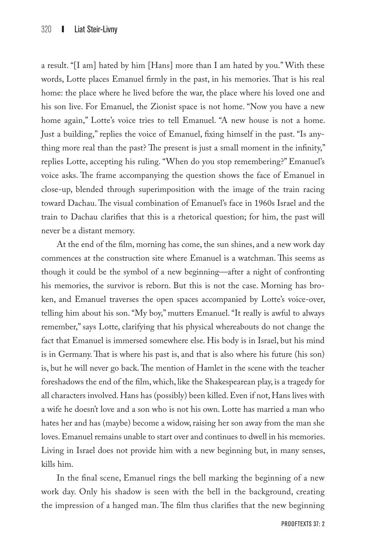a result. "[I am] hated by him [Hans] more than I am hated by you." With these words, Lotte places Emanuel firmly in the past, in his memories. That is his real home: the place where he lived before the war, the place where his loved one and his son live. For Emanuel, the Zionist space is not home. "Now you have a new home again," Lotte's voice tries to tell Emanuel. "A new house is not a home. Just a building," replies the voice of Emanuel, fixing himself in the past. "Is anything more real than the past? The present is just a small moment in the infinity," replies Lotte, accepting his ruling. "When do you stop remembering?" Emanuel's voice asks. The frame accompanying the question shows the face of Emanuel in close-up, blended through superimposition with the image of the train racing toward Dachau. The visual combination of Emanuel's face in 1960s Israel and the train to Dachau clarifies that this is a rhetorical question; for him, the past will never be a distant memory.

At the end of the film, morning has come, the sun shines, and a new work day commences at the construction site where Emanuel is a watchman. This seems as though it could be the symbol of a new beginning—after a night of confronting his memories, the survivor is reborn. But this is not the case. Morning has broken, and Emanuel traverses the open spaces accompanied by Lotte's voice-over, telling him about his son. "My boy," mutters Emanuel. "It really is awful to always remember," says Lotte, clarifying that his physical whereabouts do not change the fact that Emanuel is immersed somewhere else. His body is in Israel, but his mind is in Germany. That is where his past is, and that is also where his future (his son) is, but he will never go back. The mention of Hamlet in the scene with the teacher foreshadows the end of the film, which, like the Shakespearean play, is a tragedy for all characters involved. Hans has (possibly) been killed. Even if not, Hans lives with a wife he doesn't love and a son who is not his own. Lotte has married a man who hates her and has (maybe) become a widow, raising her son away from the man she loves. Emanuel remains unable to start over and continues to dwell in his memories. Living in Israel does not provide him with a new beginning but, in many senses, kills him.

In the final scene, Emanuel rings the bell marking the beginning of a new work day. Only his shadow is seen with the bell in the background, creating the impression of a hanged man. The film thus clarifies that the new beginning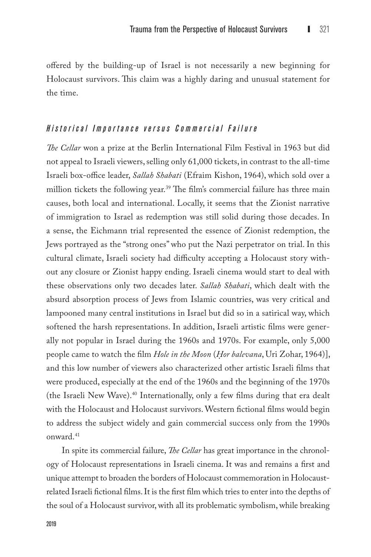offered by the building-up of Israel is not necessarily a new beginning for Holocaust survivors. This claim was a highly daring and unusual statement for the time.

## *H istorical Importance versus Commercial Failure*

*The Cellar* won a prize at the Berlin International Film Festival in 1963 but did not appeal to Israeli viewers, selling only 61,000 tickets, in contrast to the all-time Israeli box-office leader, *Sallah Shabati* (Efraim Kishon, 1964), which sold over a million tickets the following year.<sup>39</sup> The film's commercial failure has three main causes, both local and international. Locally, it seems that the Zionist narrative of immigration to Israel as redemption was still solid during those decades. In a sense, the Eichmann trial represented the essence of Zionist redemption, the Jews portrayed as the "strong ones" who put the Nazi perpetrator on trial. In this cultural climate, Israeli society had difficulty accepting a Holocaust story without any closure or Zionist happy ending. Israeli cinema would start to deal with these observations only two decades later. *Sallah Shabati*, which dealt with the absurd absorption process of Jews from Islamic countries, was very critical and lampooned many central institutions in Israel but did so in a satirical way, which softened the harsh representations. In addition, Israeli artistic films were generally not popular in Israel during the 1960s and 1970s. For example, only 5,000 people came to watch the film *Hole in the Moon* (*Hor balevana*, Uri Zohar, 1964)], and this low number of viewers also characterized other artistic Israeli films that were produced, especially at the end of the 1960s and the beginning of the 1970s (the Israeli New Wave).40 Internationally, only a few films during that era dealt with the Holocaust and Holocaust survivors. Western fictional films would begin to address the subject widely and gain commercial success only from the 1990s onward.41

In spite its commercial failure, *The Cellar* has great importance in the chronology of Holocaust representations in Israeli cinema. It was and remains a first and unique attempt to broaden the borders of Holocaust commemoration in Holocaustrelated Israeli fictional films. It is the first film which tries to enter into the depths of the soul of a Holocaust survivor, with all its problematic symbolism, while breaking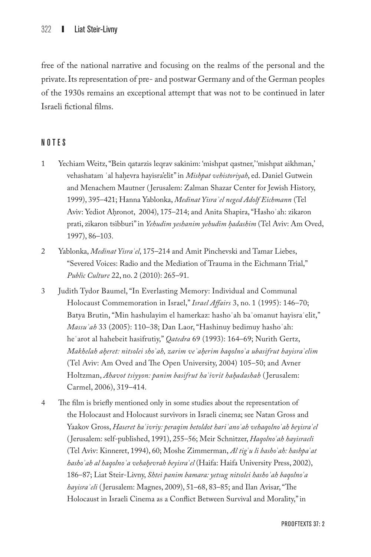free of the national narrative and focusing on the realms of the personal and the private. Its representation of pre- and postwar Germany and of the German peoples of the 1930s remains an exceptional attempt that was not to be continued in later Israeli fictional films.

## NOTES

- 1 Yechiam Weitz, "Bein qatarzis leqrav sakinim: 'mishpat qastner,' 'mishpat aikhman,' vehashatam ʿal hah. evra hayisra'elit" in *Mishpat vehistoriyah*, ed. Daniel Gutwein and Menachem Mautner ( Jerusalem: Zalman Shazar Center for Jewish History, 1999), 395–421; Hanna Yablonka, *Medinat Yisraʾel neged Adolf Eichmann* (Tel Aviv: Yediot Ahronot, 2004), 175–214; and Anita Shapira, "Hasho'ah: zikaron prati, zikaron tsibburi" in *Yehudim yeshanim yehudim h. adashim* (Tel Aviv: Am Oved, 1997), 86–103.
- 2 Yablonka, *Medinat Yisraʾel*, 175–214 and Amit Pinchevski and Tamar Liebes, "Severed Voices: Radio and the Mediation of Trauma in the Eichmann Trial," *Public Culture* 22, no. 2 (2010): 265–91.
- 3 Judith Tydor Baumel, "In Everlasting Memory: Individual and Communal Holocaust Commemoration in Israel," *Israel Affairs* 3, no. 1 (1995): 146–70; Batya Brutin, "Min hashulayim el hamerkaz: hashoʾah baʾomanut hayisraʾelit," *Massuʾah* 33 (2005): 110–38; Dan Laor, "Hashinuy bedimuy hashoʾah: heʿarot al hahebeit hasifrutiy," *Qatedra* 69 (1993): 164–69; Nurith Gertz, *Makhelah ah.eret: nitsolei shoʾah, zarim veʾah.erim baqolnoʿa ubasifrut hayisraʾelim* (Tel Aviv: Am Oved and The Open University, 2004) 105–50; and Avner Holtzman, *Ahavot tsiyyon: panim basifrut haʿivrit hah. adashah* ( Jerusalem: Carmel, 2006), 319–414.
- 4 The film is briefly mentioned only in some studies about the representation of the Holocaust and Holocaust survivors in Israeli cinema; see Natan Gross and Yaakov Gross, *Haseret haʿivriy: peraqim betoldot hariʾanoʿah vehaqolnoʿah beyisraʾel* ( Jerusalem: self-published, 1991), 255–56; Meir Schnitzer, *Haqolnoʿah hayisraeli* (Tel Aviv: Kinneret, 1994), 60; Moshe Zimmerman, *Al tigʿu li bashoʾah: hashpaʿat hashoʾah al haqolnoʿa vehah.evrah beyisraʾel* (Haifa: Haifa University Press, 2002), 186–87; Liat Steir-Livny, *Shtei panim bamara: yetsug nitsolei hashoʾah baqolnoʿa hayisraʾeli* ( Jerusalem: Magnes, 2009), 51–68, 83–85; and Ilan Avisar, "The Holocaust in Israeli Cinema as a Conflict Between Survival and Morality," in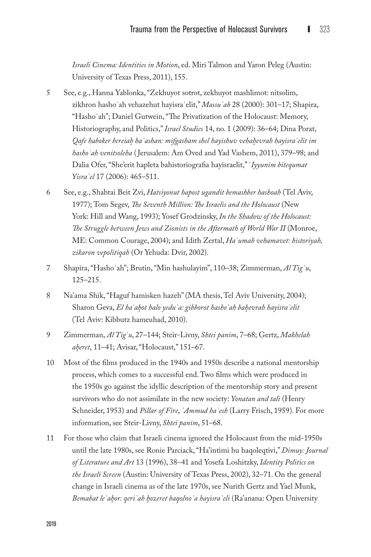*Israeli Cinema: Identities in Motion*, ed. Miri Talmon and Yaron Peleg (Austin: University of Texas Press, 2011), 155.

- 5 See, e.g., Hanna Yablonka, "Zekhuyot sotrot, zekhuyot mashlimot: nitsolim, zikhron hashoʾah vehazehut hayisraʾelit," *Massuʾah* 28 (2000): 301–17; Shapira, "Hashoʾah"; Daniel Gutwein, "The Privatization of the Holocaust: Memory, Historiography, and Politics," *Israel Studies* 14, no. 1 (2009): 36–64; Dina Porat, *Qafe haboker bereiah. haʿashan: mifgasham shel hayishuv vehah.evrah hayisraʾelit im hashoʾah venitsoleha* ( Jerusalem: Am Oved and Yad Vashem, 2011), 379–98; and Dalia Ofer, "She'erit hapleta bahistoriografia hayisraelit," ʿ*Iyyunim bitequmat Yisraʾel* 17 (2006): 465–511.
- 6 See, e.g., Shabtai Beit Zvi, *Hatsiyonut hapost ugandit bemashber hashoah* (Tel Aviv, 1977); Tom Segev, *The Seventh Million: The Israelis and the Holocaust* (New York: Hill and Wang, 1993); Yosef Grodzinsky, *In the Shadow of the Holocaust: The Struggle between Jews and Zionists in the Aftermath of World War II* (Monroe, ME: Common Courage, 2004); and Idith Zertal, *Haʾumah vehamavet: historiyah, zikaron vepolitiqah* (Or Yehuda: Dvir, 2002).
- 7 Shapira, "Hashoʾah"; Brutin, "Min hashulayim", 110–38; Zimmerman, *Al Tigʿu*, 125–215.
- 8 Na'ama Shik, "Haguf hamisken hazeh" (MA thesis, Tel Aviv University, 2004); Sharon Geva, *El haʾah.ot halo yeduʿa: gibborot hashoʾah bah.evrah hayisraʾelit* (Tel Aviv: Kibbutz hameuhad, 2010).
- 9 Zimmerman, *Al Tigʿu*, 27–144; Steir-Livny, *Shtei panim*, 7–68; Gertz, *Makhelah ah.eret*, 11–41; Avisar, "Holocaust," 151–67.
- 10 Most of the films produced in the 1940s and 1950s describe a national mentorship process, which comes to a successful end. Two films which were produced in the 1950s go against the idyllic description of the mentorship story and present survivors who do not assimilate in the new society: *Yonatan and tali* (Henry Schneider, 1953) and *Pillar of Fire*, *ʿAmmud haʾesh* (Larry Frisch, 1959). For more information, see Steir-Livny, *Shtei panim*, 51–68.
- 11 For those who claim that Israeli cinema ignored the Holocaust from the mid-1950s until the late 1980s, see Ronie Parciack, "Ha'intimi hu haqoleqtivi," *Dimuy: Journal of Literature and Art* 13 (1996), 38–41 and Yosefa Loshitzky, *Identity Politics on the Israeli Screen* (Austin: University of Texas Press, 2002), 32–71. On the general change in Israeli cinema as of the late 1970s, see Nurith Gertz and Yael Munk, *Bemabat leʾah.or: qeriʾah h.ozeret baqolnoʿa hayisraʾeli* (Ra'anana: Open University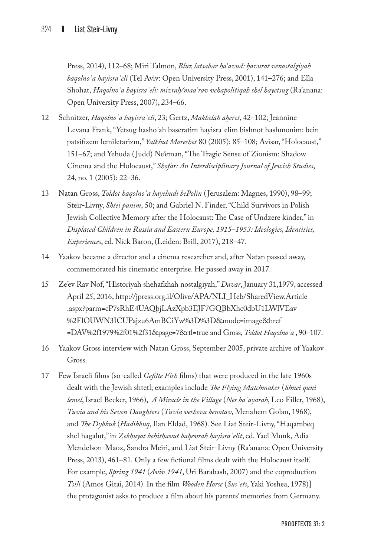Press, 2014), 112–68; Miri Talmon, *Bluz latsabar ha'avud: h. avurot venostalgiyah baqolnoʿa hayisraʾeli* (Tel Aviv: Open University Press, 2001), 141–276; and Ella Shohat, *Haqolnoʿa hayisraʾeli: mizrah./maaʿrav vehapolitiqah shel hayetsug* (Ra'anana: Open University Press, 2007), 234–66.

- 12 Schnitzer, *Haqolnoʿa hayisraʾeli*, 23; Gertz, *Makhelah ah.eret*, 42–102; Jeannine Levana Frank, "Yetsug hasho*ʾ*ah baseratim hayisraʾelim bishnot hashmonim: bein patsifizem lemiletarizm," *Yalkhut Moreshet* 80 (2005): 85–108; Avisar, "Holocaust," 151–67; and Yehuda ( Judd) Ne'eman, "The Tragic Sense of Zionism: Shadow Cinema and the Holocaust," *Shofar: An Interdisciplinary Journal of Jewish Studies*, 24, no. 1 (2005): 22–36.
- 13 Natan Gross, *Toldot haqolnoʿa hayehudi bePolin* ( Jerusalem: Magnes, 1990), 98–99; Steir-Livny, *Shtei panim*, 50; and Gabriel N. Finder, "Child Survivors in Polish Jewish Collective Memory after the Holocaust: The Case of Undzere kinder," in *Displaced Children in Russia and Eastern Europe, 1915–1953: Ideologies, Identities, Experiences*, ed. Nick Baron, (Leiden: Brill, 2017), 218–47.
- 14 Yaakov became a director and a cinema researcher and, after Natan passed away, commemorated his cinematic enterprise. He passed away in 2017.
- 15 Ze'ev Rav Nof, "Historiyah shehafkhah nostalgiyah," *Davar*, January 31,1979, accessed April 25, 2016, [http://jpress.org.il/Olive/APA/NLI\\_Heb/SharedView.Article](http://jpress.org.il/Olive/APA/NLI_Heb/SharedView.Article.aspx%3Fparm%3DcP7sRhE4UAQbjLAzXpb3EJF7GQBbXhc0dbU1LWlVEav%252FlO%0DUWN3ICUPajzu6AmBCiYw%253D%253D%26mode%3Dimage%26href%3DDAV%252f1979%252f01%252f31%26page%3D7%26rtl%3Dtrue) [.aspx?parm=cP7sRhE4UAQbjLAzXpb3EJF7GQBbXhc0dbU1LWlVEav](http://jpress.org.il/Olive/APA/NLI_Heb/SharedView.Article.aspx%3Fparm%3DcP7sRhE4UAQbjLAzXpb3EJF7GQBbXhc0dbU1LWlVEav%252FlO%0DUWN3ICUPajzu6AmBCiYw%253D%253D%26mode%3Dimage%26href%3DDAV%252f1979%252f01%252f31%26page%3D7%26rtl%3Dtrue) [%2FlOUWN3ICUPajzu6AmBCiYw%3D%3D&mode=image&href](http://jpress.org.il/Olive/APA/NLI_Heb/SharedView.Article.aspx%3Fparm%3DcP7sRhE4UAQbjLAzXpb3EJF7GQBbXhc0dbU1LWlVEav%252FlO%0DUWN3ICUPajzu6AmBCiYw%253D%253D%26mode%3Dimage%26href%3DDAV%252f1979%252f01%252f31%26page%3D7%26rtl%3Dtrue) [=DAV%2f1979%2f01%2f31&page=7&rtl=true](http://jpress.org.il/Olive/APA/NLI_Heb/SharedView.Article.aspx%3Fparm%3DcP7sRhE4UAQbjLAzXpb3EJF7GQBbXhc0dbU1LWlVEav%252FlO%0DUWN3ICUPajzu6AmBCiYw%253D%253D%26mode%3Dimage%26href%3DDAV%252f1979%252f01%252f31%26page%3D7%26rtl%3Dtrue) and Gross, *Toldot Haqolnoʿa* , 90–107.
- 16 Yaakov Gross interview with Natan Gross, September 2005, private archive of Yaakov Gross.
- 17 Few Israeli films (so-called *Gefilte Fish* films) that were produced in the late 1960s dealt with the Jewish shtetl; examples include *The Flying Matchmaker* (*Shnei quni lemel*, Israel Becker, 1966), *A Miracle in the Village* (*Nes baʿayarah*, Leo Filler, 1968), *Tuvia and his Seven Daughters* (*Tuvia vesheva benotav*, Menahem Golan, 1968), and *The Dybbuk* (*Hadibbuq*, Ilan Eldad, 1968). See Liat Steir-Livny, "Haqambeq shel hagalut," in *Zekhuyot behithavut bah.evrah hayisraʾelit*, ed. Yael Munk, Adia Mendelson-Maoz, Sandra Meiri, and Liat Steir-Livny (Ra'anana: Open University Press, 2013), 461–81. Only a few fictional films dealt with the Holocaust itself. For example, *Spring 1941* (*Aviv 1941*, Uri Barabash, 2007) and the coproduction *Tsili* (Amos Gitai, 2014). In the film *Wooden Horse* (*Susʿets*, Yaki Yoshea, 1978)] the protagonist asks to produce a film about his parents' memories from Germany.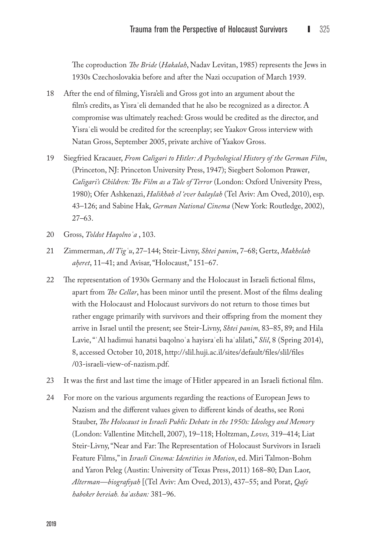The coproduction *The Bride* (*Hakalah*, Nadav Levitan, 1985) represents the Jews in 1930s Czechoslovakia before and after the Nazi occupation of March 1939.

- 18 After the end of filming, Yisra'eli and Gross got into an argument about the film's credits, as Yisraʾeli demanded that he also be recognized as a director. A compromise was ultimately reached: Gross would be credited as the director, and Yisraʾeli would be credited for the screenplay; see Yaakov Gross interview with Natan Gross, September 2005, private archive of Yaakov Gross.
- 19 Siegfried Kracauer, *From Caligari to Hitler: A Psychological History of the German Film*, (Princeton, NJ: Princeton University Press, 1947); Siegbert Solomon Prawer, *Caligari's Children: The Film as a Tale of Terror* (London: Oxford University Press, 1980); Ofer Ashkenazi, *Halikhah el 'ever halaylah* (Tel Aviv: Am Oved, 2010), esp. 43–126; and Sabine Hak, *German National Cinema* (New York: Routledge, 2002), 27–63.
- 20 Gross, *Toldot Haqolnoʿa* , 103.
- 21 Zimmerman, *Al Tigʿu*, 27–144; Steir-Livny, *Shtei panim*, 7–68; Gertz, *Makhelah ah.eret*, 11–41; and Avisar, "Holocaust," 151–67.
- 22 The representation of 1930s Germany and the Holocaust in Israeli fictional films, apart from *The Cellar*, has been minor until the present. Most of the films dealing with the Holocaust and Holocaust survivors do not return to those times but rather engage primarily with survivors and their offspring from the moment they arrive in Israel until the present; see Steir-Livny, *Shtei panim,* 83–85, 89; and Hila Lavie, "ʿAl hadimui hanatsi baqolnoʿa hayisraʾeli haʿalilati," *Slil*, 8 (Spring 2014), 8, accessed October 10, 2018, [http://slil.huji.ac.il/sites/default/files/slil/files](http://slil.huji.ac.il/sites/default/files/slil/files/03-israeli-view-of-nazism.pdf) [/03-israeli-view-of-nazism.pdf](http://slil.huji.ac.il/sites/default/files/slil/files/03-israeli-view-of-nazism.pdf).
- 23 It was the first and last time the image of Hitler appeared in an Israeli fictional film.
- 24 For more on the various arguments regarding the reactions of European Jews to Nazism and the different values given to different kinds of deaths, see Roni Stauber, *The Holocaust in Israeli Public Debate in the 1950s: Ideology and Memory* (London: Vallentine Mitchell, 2007), 19–118; Holtzman, *Loves,* 319–414; Liat Steir-Livny, "Near and Far: The Representation of Holocaust Survivors in Israeli Feature Films," in *Israeli Cinema: Identities in Motion*, ed. Miri Talmon-Bohm and Yaron Peleg (Austin: University of Texas Press, 2011) 168–80; Dan Laor, *Alterman—biografiyah* [(Tel Aviv: Am Oved, 2013), 437–55; and Porat, *Qafe haboker bereiah. haʿashan:* 381–96.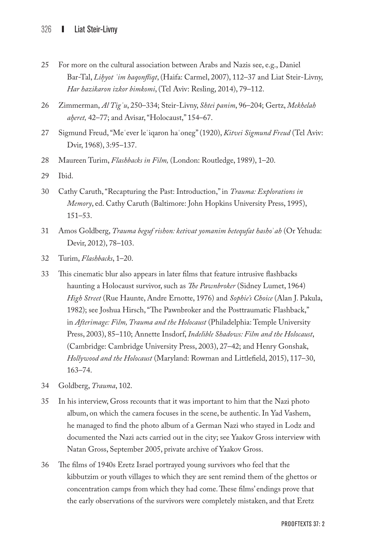- 25 For more on the cultural association between Arabs and Nazis see, e.g., Daniel Bar-Tal, Lihyot 'im haqonfliqt, (Haifa: Carmel, 2007), 112-37 and Liat Steir-Livny, *Har hazikaron izkor bimkomi*, (Tel Aviv: Resling, 2014), 79–112.
- 26 Zimmerman, *Al Tigʿu*, 250–334; Steir-Livny, *Shtei panim*, 96–204; Gertz, *Mekhelah ah.eret,* 42–77; and Avisar, "Holocaust," 154–67.
- 27 Sigmund Freud, "Meʿever leʿiqaron haʿoneg" (1920), *Kitvei Sigmund Freud* (Tel Aviv: Dvir, 1968), 3:95–137.
- 28 Maureen Turim, *Flashbacks in Film,* (London: Routledge, 1989), 1–20.
- 29 Ibid.
- 30 Cathy Caruth, "Recapturing the Past: Introduction," in *Trauma: Explorations in Memory*, ed. Cathy Caruth (Baltimore: John Hopkins University Press, 1995), 151–53.
- 31 Amos Goldberg, *Trauma beguf rishon: ketivat yomanim betequfat hasho*ʾ*ah* (Or Yehuda: Devir, 2012), 78–103.
- 32 Turim, *Flashbacks*, 1–20.
- 33 This cinematic blur also appears in later films that feature intrusive flashbacks haunting a Holocaust survivor, such as *The Pawnbroker* (Sidney Lumet, 1964) *High Street* (Rue Haunte, Andre Ernotte, 1976) and *Sophie's Choice* (Alan J. Pakula, 1982); see Joshua Hirsch, "The Pawnbroker and the Posttraumatic Flashback," in *Afterimage: Film, Trauma and the Holocaust* (Philadelphia: Temple University Press, 2003), 85–110; Annette Insdorf, *Indelible Shadows: Film and the Holocaust*, (Cambridge: Cambridge University Press, 2003), 27–42; and Henry Gonshak, *Hollywood and the Holocaust* (Maryland: Rowman and Littlefield, 2015), 117–30, 163–74.
- 34 Goldberg, *Trauma*, 102.
- 35 In his interview, Gross recounts that it was important to him that the Nazi photo album, on which the camera focuses in the scene, be authentic. In Yad Vashem, he managed to find the photo album of a German Nazi who stayed in Lodz and documented the Nazi acts carried out in the city; see Yaakov Gross interview with Natan Gross, September 2005, private archive of Yaakov Gross.
- 36 The films of 1940s Eretz Israel portrayed young survivors who feel that the kibbutzim or youth villages to which they are sent remind them of the ghettos or concentration camps from which they had come. These films' endings prove that the early observations of the survivors were completely mistaken, and that Eretz